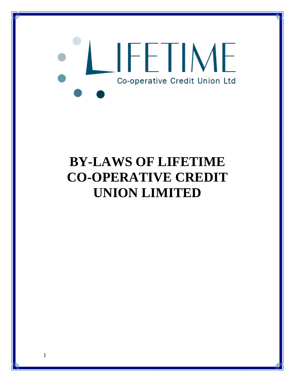# IFETIME Co-operative Credit Union Ltd

# **BY-LAWS OF LIFETIME CO-OPERATIVE CREDIT UNION LIMITED**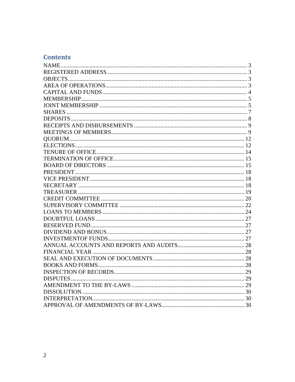# **Contents**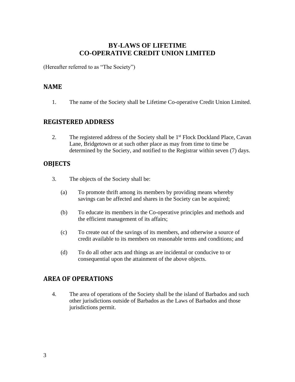# **BY-LAWS OF LIFETIME CO-OPERATIVE CREDIT UNION LIMITED**

(Hereafter referred to as "The Society")

#### <span id="page-2-0"></span>**NAME**

1. The name of the Society shall be Lifetime Co-operative Credit Union Limited.

#### <span id="page-2-1"></span>**REGISTERED ADDRESS**

2. The registered address of the Society shall be 1<sup>st</sup> Flock Dockland Place, Cavan Lane, Bridgetown or at such other place as may from time to time be determined by the Society, and notified to the Registrar within seven (7) days.

#### <span id="page-2-2"></span>**OBJECTS**

- 3. The objects of the Society shall be:
	- (a) To promote thrift among its members by providing means whereby savings can be affected and shares in the Society can be acquired;
	- (b) To educate its members in the Co-operative principles and methods and the efficient management of its affairs;
	- (c) To create out of the savings of its members, and otherwise a source of credit available to its members on reasonable terms and conditions; and
	- (d) To do all other acts and things as are incidental or conducive to or consequential upon the attainment of the above objects.

# <span id="page-2-3"></span>**AREA OF OPERATIONS**

4. The area of operations of the Society shall be the island of Barbados and such other jurisdictions outside of Barbados as the Laws of Barbados and those jurisdictions permit.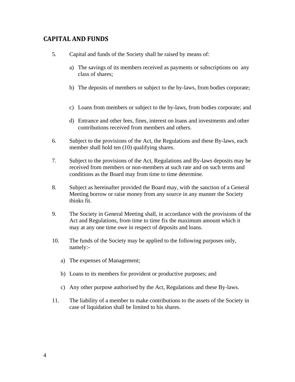# <span id="page-3-0"></span>**CAPITAL AND FUNDS**

- 5. Capital and funds of the Society shall be raised by means of:
	- a) The savings of its members received as payments or subscriptions on any class of shares;
	- b) The deposits of members or subject to the by-laws, from bodies corporate;
	- c) Loans from members or subject to the by-laws, from bodies corporate; and
	- d) Entrance and other fees, fines, interest on loans and investments and other contributions received from members and others.
- 6. Subject to the provisions of the Act, the Regulations and these By-laws, each member shall hold ten (10) qualifying shares.
- 7. Subject to the provisions of the Act, Regulations and By-laws deposits may be received from members or non-members at such rate and on such terms and conditions as the Board may from time to time determine.
- 8. Subject as hereinafter provided the Board may, with the sanction of a General Meeting borrow or raise money from any source in any manner the Society thinks fit.
- 9. The Society in General Meeting shall, in accordance with the provisions of the Act and Regulations, from time to time fix the maximum amount which it may at any one time owe in respect of deposits and loans.
- 10. The funds of the Society may be applied to the following purposes only, namely:
	- a) The expenses of Management;
	- b) Loans to its members for provident or productive purposes; and
	- c) Any other purpose authorised by the Act, Regulations and these By-laws.
- 11. The liability of a member to make contributions to the assets of the Society in case of liquidation shall be limited to his shares.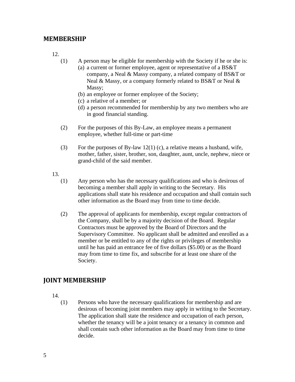#### <span id="page-4-0"></span>**MEMBERSHIP**

12.

- (1) A person may be eligible for membership with the Society if he or she is:
	- (a) a current or former employee, agent or representative of a BS&T company, a Neal & Massy company, a related company of BS&T or Neal & Massy, or a company formerly related to BS&T or Neal & Massy;
	- (b) an employee or former employee of the Society;
	- (c) a relative of a member; or
	- (d) a person recommended for membership by any two members who are in good financial standing.
- (2) For the purposes of this By-Law, an employee means a permanent employee, whether full-time or part-time
- (3) For the purposes of By-law 12(1) (c), a relative means a husband, wife, mother, father, sister, brother, son, daughter, aunt, uncle, nephew, niece or grand-child of the said member.
- 13.
	- (1) Any person who has the necessary qualifications and who is desirous of becoming a member shall apply in writing to the Secretary. His applications shall state his residence and occupation and shall contain such other information as the Board may from time to time decide.
	- (2) The approval of applicants for membership, except regular contractors of the Company, shall be by a majority decision of the Board. Regular Contractors must be approved by the Board of Directors and the Supervisory Committee. No applicant shall be admitted and enrolled as a member or be entitled to any of the rights or privileges of membership until he has paid an entrance fee of five dollars (\$5.00) or as the Board may from time to time fix, and subscribe for at least one share of the Society.

# <span id="page-4-1"></span>**JOINT MEMBERSHIP**

14.

(1) Persons who have the necessary qualifications for membership and are desirous of becoming joint members may apply in writing to the Secretary. The application shall state the residence and occupation of each person, whether the tenancy will be a joint tenancy or a tenancy in common and shall contain such other information as the Board may from time to time decide.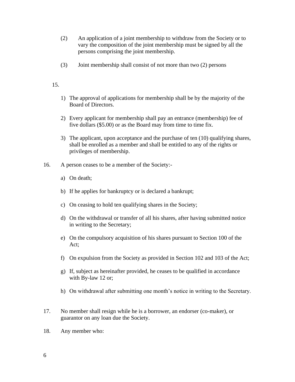- (2) An application of a joint membership to withdraw from the Society or to vary the composition of the joint membership must be signed by all the persons comprising the joint membership.
- (3) Joint membership shall consist of not more than two (2) persons

- 1) The approval of applications for membership shall be by the majority of the Board of Directors.
- 2) Every applicant for membership shall pay an entrance (membership) fee of five dollars (\$5.00) or as the Board may from time to time fix.
- 3) The applicant, upon acceptance and the purchase of ten (10) qualifying shares, shall be enrolled as a member and shall be entitled to any of the rights or privileges of membership.
- 16. A person ceases to be a member of the Society:
	- a) On death;
	- b) If he applies for bankruptcy or is declared a bankrupt;
	- c) On ceasing to hold ten qualifying shares in the Society;
	- d) On the withdrawal or transfer of all his shares, after having submitted notice in writing to the Secretary;
	- e) On the compulsory acquisition of his shares pursuant to Section 100 of the Act;
	- f) On expulsion from the Society as provided in Section 102 and 103 of the Act;
	- g) If, subject as hereinafter provided, he ceases to be qualified in accordance with By-law 12 or;
	- h) On withdrawal after submitting one month's notice in writing to the Secretary.
- 17. No member shall resign while he is a borrower, an endorser (co-maker), or guarantor on any loan due the Society.
- 18. Any member who: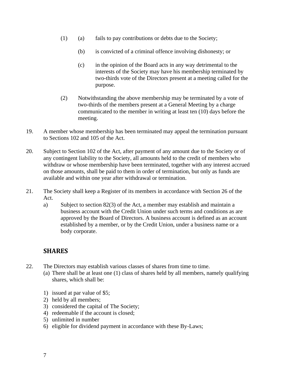- (1) (a) fails to pay contributions or debts due to the Society;
	- (b) is convicted of a criminal offence involving dishonesty; or
	- (c) in the opinion of the Board acts in any way detrimental to the interests of the Society may have his membership terminated by two-thirds vote of the Directors present at a meeting called for the purpose.
- (2) Notwithstanding the above membership may be terminated by a vote of two-thirds of the members present at a General Meeting by a charge communicated to the member in writing at least ten (10) days before the meeting.
- 19. A member whose membership has been terminated may appeal the termination pursuant to Sections 102 and 105 of the Act.
- 20. Subject to Section 102 of the Act, after payment of any amount due to the Society or of any contingent liability to the Society, all amounts held to the credit of members who withdraw or whose membership have been terminated, together with any interest accrued on those amounts, shall be paid to them in order of termination, but only as funds are available and within one year after withdrawal or termination.
- 21. The Society shall keep a Register of its members in accordance with Section 26 of the Act.
	- a) Subject to section 82(3) of the Act, a member may establish and maintain a business account with the Credit Union under such terms and conditions as are approved by the Board of Directors. A business account is defined as an account established by a member, or by the Credit Union, under a business name or a body corporate.

# <span id="page-6-0"></span>**SHARES**

- 22. The Directors may establish various classes of shares from time to time.
	- (a) There shall be at least one (1) class of shares held by all members, namely qualifying shares, which shall be:
	- 1) issued at par value of \$5;
	- 2) held by all members;
	- 3) considered the capital of The Society;
	- 4) redeemable if the account is closed;
	- 5) unlimited in number
	- 6) eligible for dividend payment in accordance with these By-Laws;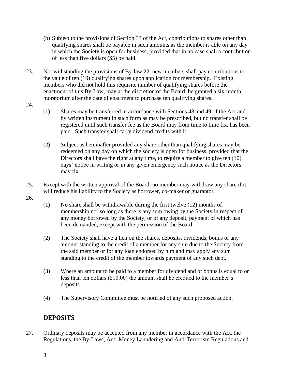- (b) Subject to the provisions of Section 33 of the Act, contributions to shares other than qualifying shares shall be payable in such amounts as the member is able on any day in which the Society is open for business, provided that in no case shall a contribution of less than five dollars (\$5) be paid.
- 23. Not withstanding the provisions of By-law 22, new members shall pay contributions to the value of ten (10) qualifying shares upon application for membership. Existing members who did not hold this requisite number of qualifying shares before the enactment of this By-Law, may at the discretion of the Board, be granted a six-month moratorium after the date of enactment to purchase ten qualifying shares.
- 24.
- (1) Shares may be transferred in accordance with Sections 48 and 49 of the Act and by written instrument in such form as may be prescribed, but no transfer shall be registered until such transfer fee as the Board may from time to time fix, has been paid. Such transfer shall carry dividend credits with it.
- (2) Subject as hereinafter provided any share other than qualifying shares may be redeemed on any day on which the society is open for business, provided that the Directors shall have the right at any time, to require a member to give ten (10) days' notice in writing or in any given emergency such notice as the Directors may fix.
- 25. Except with the written approval of the Board, no member may withdraw any share if it will reduce his liability to the Society as borrower, co-maker or guarantor.
- 26.
- (1) No share shall be withdrawable during the first twelve (12) months of membership nor so long as there is any sum owing by the Society in respect of any money borrowed by the Society, or of any deposit, payment of which has been demanded, except with the permission of the Board.
- (2) The Society shall have a lien on the shares, deposits, dividends, bonus or any amount standing to the credit of a member for any sum due to the Society from the said member or for any loan endorsed by him and may apply any sum standing to the credit of the member towards payment of any such debt.
- (3) Where an amount to be paid to a member for dividend and or bonus is equal to or less than ten dollars (\$10.00) the amount shall be credited to the member's deposits.
- (4) The Supervisory Committee must be notified of any such proposed action.

# <span id="page-7-0"></span>**DEPOSITS**

27. Ordinary deposits may be accepted from any member in accordance with the Act, the Regulations, the By-Laws, Anti-Money Laundering and Anti-Terrorism Regulations and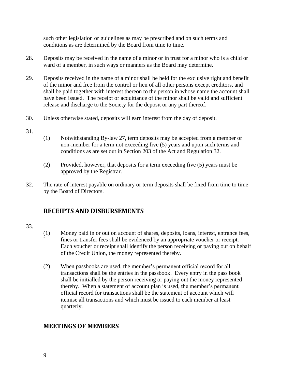such other legislation or guidelines as may be prescribed and on such terms and conditions as are determined by the Board from time to time.

- 28. Deposits may be received in the name of a minor or in trust for a minor who is a child or ward of a member, in such ways or manners as the Board may determine.
- 29. Deposits received in the name of a minor shall be held for the exclusive right and benefit of the minor and free from the control or lien of all other persons except creditors, and shall be paid together with interest thereon to the person in whose name the account shall have been issued. The receipt or acquittance of the minor shall be valid and sufficient release and discharge to the Society for the deposit or any part thereof.
- 30. Unless otherwise stated, deposits will earn interest from the day of deposit.
- 31.
- (1) Notwithstanding By-law 27, term deposits may be accepted from a member or non-member for a term not exceeding five (5) years and upon such terms and conditions as are set out in Section 203 of the Act and Regulation 32.
- (2) Provided, however, that deposits for a term exceeding five (5) years must be approved by the Registrar.
- 32. The rate of interest payable on ordinary or term deposits shall be fixed from time to time by the Board of Directors.

# <span id="page-8-0"></span>**RECEIPTS AND DISBURSEMENTS**

- 33.
- (1) Money paid in or out on account of shares, deposits, loans, interest, entrance fees, fines or transfer fees shall be evidenced by an appropriate voucher or receipt. Each voucher or receipt shall identify the person receiving or paying out on behalf of the Credit Union, the money represented thereby.
- (2) When passbooks are used, the member's permanent official record for all transactions shall be the entries in the passbook. Every entry in the pass book shall be initialled by the person receiving or paying out the money represented thereby. When a statement of account plan is used, the member's permanent official record for transactions shall be the statement of account which will itemise all transactions and which must be issued to each member at least quarterly.

# <span id="page-8-1"></span>**MEETINGS OF MEMBERS**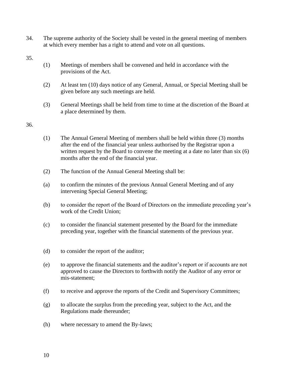34. The supreme authority of the Society shall be vested in the general meeting of members at which every member has a right to attend and vote on all questions.

35.

- (1) Meetings of members shall be convened and held in accordance with the provisions of the Act.
- (2) At least ten (10) days notice of any General, Annual, or Special Meeting shall be given before any such meetings are held.
- (3) General Meetings shall be held from time to time at the discretion of the Board at a place determined by them.

- (1) The Annual General Meeting of members shall be held within three (3) months after the end of the financial year unless authorised by the Registrar upon a written request by the Board to convene the meeting at a date no later than six (6) months after the end of the financial year.
- (2) The function of the Annual General Meeting shall be:
- (a) to confirm the minutes of the previous Annual General Meeting and of any intervening Special General Meeting;
- (b) to consider the report of the Board of Directors on the immediate preceding year's work of the Credit Union;
- (c) to consider the financial statement presented by the Board for the immediate preceding year, together with the financial statements of the previous year.
- (d) to consider the report of the auditor;
- (e) to approve the financial statements and the auditor's report or if accounts are not approved to cause the Directors to forthwith notify the Auditor of any error or mis-statement;
- (f) to receive and approve the reports of the Credit and Supervisory Committees;
- (g) to allocate the surplus from the preceding year, subject to the Act, and the Regulations made thereunder;
- (h) where necessary to amend the By-laws;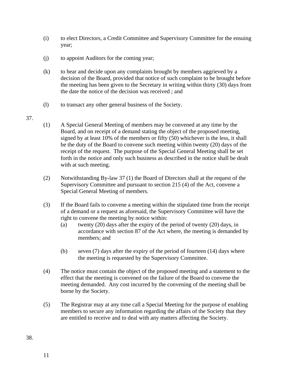- (i) to elect Directors, a Credit Committee and Supervisory Committee for the ensuing year;
- (j) to appoint Auditors for the coming year;
- (k) to hear and decide upon any complaints brought by members aggrieved by a decision of the Board, provided that notice of such complaint to be brought before the meeting has been given to the Secretary in writing within thirty (30) days from the date the notice of the decision was received ; and
- (l) to transact any other general business of the Society.
- 37.
- (1) A Special General Meeting of members may be convened at any time by the Board, and on receipt of a demand stating the object of the proposed meeting, signed by at least 10% of the members or fifty (50) whichever is the less, it shall be the duty of the Board to convene such meeting within twenty (20) days of the receipt of the request. The purpose of the Special General Meeting shall be set forth in the notice and only such business as described in the notice shall be dealt with at such meeting.
- (2) Notwithstanding By-law 37 (1) the Board of Directors shall at the request of the Supervisory Committee and pursuant to section 215 (4) of the Act, convene a Special General Meeting of members.
- (3) If the Board fails to convene a meeting within the stipulated time from the receipt of a demand or a request as aforesaid, the Supervisory Committee will have the right to convene the meeting by notice within:
	- (a) twenty (20) days after the expiry of the period of twenty (20) days, in accordance with section 87 of the Act where, the meeting is demanded by members; and
	- (b) seven (7) days after the expiry of the period of fourteen (14) days where the meeting is requested by the Supervisory Committee.
- (4) The notice must contain the object of the proposed meeting and a statement to the effect that the meeting is convened on the failure of the Board to convene the meeting demanded. Any cost incurred by the convening of the meeting shall be borne by the Society.
- (5) The Registrar may at any time call a Special Meeting for the purpose of enabling members to secure any information regarding the affairs of the Society that they are entitled to receive and to deal with any matters affecting the Society.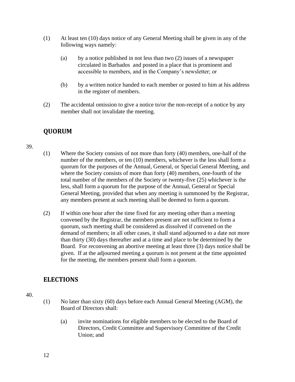- (1) At least ten (10) days notice of any General Meeting shall be given in any of the following ways namely:
	- (a) by a notice published in not less than two (2) issues of a newspaper circulated in Barbados and posted in a place that is prominent and accessible to members, and in the Company's newsletter; or
	- (b) by a written notice handed to each member or posted to him at his address in the register of members.
- (2) The accidental omission to give a notice to/or the non-receipt of a notice by any member shall not invalidate the meeting.

# <span id="page-11-0"></span>**QUORUM**

#### 39.

- (1) Where the Society consists of not more than forty (40) members, one-half of the number of the members, or ten (10) members, whichever is the less shall form a quorum for the purposes of the Annual, General, or Special General Meeting, and where the Society consists of more than forty (40) members, one-fourth of the total number of the members of the Society or twenty-five (25) whichever is the less, shall form a quorum for the purpose of the Annual, General or Special General Meeting, provided that when any meeting is summoned by the Registrar, any members present at such meeting shall be deemed to form a quorum.
- (2) If within one hour after the time fixed for any meeting other than a meeting convened by the Registrar, the members present are not sufficient to form a quorum, such meeting shall be considered as dissolved if convened on the demand of members; in all other cases, it shall stand adjourned to a date not more than thirty (30) days thereafter and at a time and place to be determined by the Board. For reconvening an abortive meeting at least three (3) days notice shall be given. If at the adjourned meeting a quorum is not present at the time appointed for the meeting, the members present shall form a quorum.

# <span id="page-11-1"></span>**ELECTIONS**

- (1) No later than sixty (60) days before each Annual General Meeting (AGM), the Board of Directors shall:
	- (a) invite nominations for eligible members to be elected to the Board of Directors, Credit Committee and Supervisory Committee of the Credit Union; and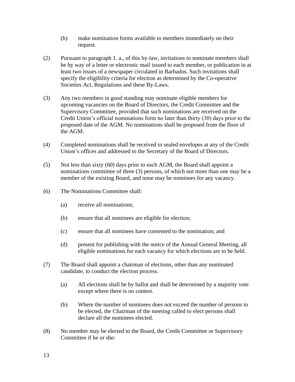- (b) make nomination forms available to members immediately on their request.
- (2) Pursuant to paragraph 1. a., of this by-law, invitations to nominate members shall be by way of a letter or electronic mail issued to each member, or publication in at least two issues of a newspaper circulated in Barbados. Such invitations shall specify the eligibility criteria for election as determined by the Co-operative Societies Act, Regulations and these By-Laws.
- (3) Any two members in good standing may nominate eligible members for upcoming vacancies on the Board of Directors, the Credit Committee and the Supervisory Committee, provided that such nominations are received on the Credit Union's official nominations form no later than thirty (30) days prior to the proposed date of the AGM. No nominations shall be proposed from the floor of the AGM.
- (4) Completed nominations shall be received in sealed envelopes at any of the Credit Union's offices and addressed to the Secretary of the Board of Directors.
- (5) Not less than sixty (60) days prior to each AGM, the Board shall appoint a nominations committee of three (3) persons, of which not more than one may be a member of the existing Board, and none may be nominees for any vacancy.
- (6) The Nominations Committee shall:
	- (a) receive all nominations;
	- (b) ensure that all nominees are eligible for election;
	- (c) ensure that all nominees have consented to the nomination; and
	- (d) present for publishing with the notice of the Annual General Meeting, all eligible nominations for each vacancy for which elections are to be held.
- (7) The Board shall appoint a chairman of elections, other than any nominated candidate, to conduct the election process.
	- (a) All elections shall be by ballot and shall be determined by a majority vote except where there is no contest.
	- (b) Where the number of nominees does not exceed the number of persons to be elected, the Chairman of the meeting called to elect persons shall declare all the nominees elected.
- (8) No member may be elected to the Board, the Credit Committee or Supervisory Committee if he or she: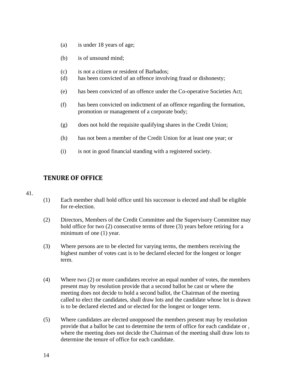- (a) is under 18 years of age;
- (b) is of unsound mind;
- (c) is not a citizen or resident of Barbados;
- (d) has been convicted of an offence involving fraud or dishonesty;
- (e) has been convicted of an offence under the Co-operative Societies Act;
- (f) has been convicted on indictment of an offence regarding the formation, promotion or management of a corporate body;
- (g) does not hold the requisite qualifying shares in the Credit Union;
- (h) has not been a member of the Credit Union for at least one year; or
- (i) is not in good financial standing with a registered society.

#### <span id="page-13-0"></span>**TENURE OF OFFICE**

- (1) Each member shall hold office until his successor is elected and shall be eligible for re-election.
- (2) Directors, Members of the Credit Committee and the Supervisory Committee may hold office for two (2) consecutive terms of three (3) years before retiring for a minimum of one (1) year.
- (3) Where persons are to be elected for varying terms, the members receiving the highest number of votes cast is to be declared elected for the longest or longer term.
- (4) Where two (2) or more candidates receive an equal number of votes, the members present may by resolution provide that a second ballot be cast or where the meeting does not decide to hold a second ballot, the Chairman of the meeting called to elect the candidates, shall draw lots and the candidate whose lot is drawn is to be declared elected and or elected for the longest or longer term.
- (5) Where candidates are elected unopposed the members present may by resolution provide that a ballot be cast to determine the term of office for each candidate or , where the meeting does not decide the Chairman of the meeting shall draw lots to determine the tenure of office for each candidate.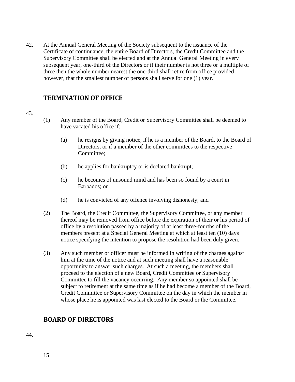42. At the Annual General Meeting of the Society subsequent to the issuance of the Certificate of continuance, the entire Board of Directors, the Credit Committee and the Supervisory Committee shall be elected and at the Annual General Meeting in every subsequent year, one-third of the Directors or if their number is not three or a multiple of three then the whole number nearest the one-third shall retire from office provided however, that the smallest number of persons shall serve for one (1) year.

# <span id="page-14-0"></span>**TERMINATION OF OFFICE**

#### 43.

- (1) Any member of the Board, Credit or Supervisory Committee shall be deemed to have vacated his office if:
	- (a) he resigns by giving notice, if he is a member of the Board, to the Board of Directors, or if a member of the other committees to the respective Committee;
	- (b) he applies for bankruptcy or is declared bankrupt;
	- (c) he becomes of unsound mind and has been so found by a court in Barbados; or
	- (d) he is convicted of any offence involving dishonesty; and
- (2) The Board, the Credit Committee, the Supervisory Committee, or any member thereof may be removed from office before the expiration of their or his period of office by a resolution passed by a majority of at least three-fourths of the members present at a Special General Meeting at which at least ten (10) days notice specifying the intention to propose the resolution had been duly given.
- (3) Any such member or officer must be informed in writing of the charges against him at the time of the notice and at such meeting shall have a reasonable opportunity to answer such charges. At such a meeting, the members shall proceed to the election of a new Board, Credit Committee or Supervisory Committee to fill the vacancy occurring. Any member so appointed shall be subject to retirement at the same time as if he had become a member of the Board, Credit Committee or Supervisory Committee on the day in which the member in whose place he is appointed was last elected to the Board or the Committee.

# <span id="page-14-1"></span>**BOARD OF DIRECTORS**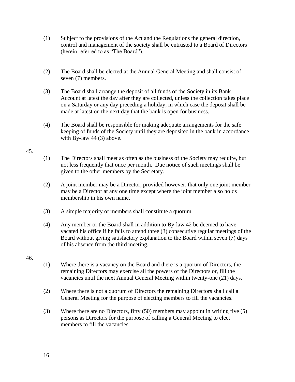- (1) Subject to the provisions of the Act and the Regulations the general direction, control and management of the society shall be entrusted to a Board of Directors (herein referred to as "The Board").
- (2) The Board shall be elected at the Annual General Meeting and shall consist of seven (7) members.
- (3) The Board shall arrange the deposit of all funds of the Society in its Bank Account at latest the day after they are collected, unless the collection takes place on a Saturday or any day preceding a holiday, in which case the deposit shall be made at latest on the next day that the bank is open for business.
- (4) The Board shall be responsible for making adequate arrangements for the safe keeping of funds of the Society until they are deposited in the bank in accordance with By-law 44 (3) above.

#### 45.

- (1) The Directors shall meet as often as the business of the Society may require, but not less frequently that once per month. Due notice of such meetings shall be given to the other members by the Secretary.
- (2) A joint member may be a Director, provided however, that only one joint member may be a Director at any one time except where the joint member also holds membership in his own name.
- (3) A simple majority of members shall constitute a quorum.
- (4) Any member or the Board shall in addition to By-law 42 be deemed to have vacated his office if he fails to attend three (3) consecutive regular meetings of the Board without giving satisfactory explanation to the Board within seven (7) days of his absence from the third meeting.

- (1) Where there is a vacancy on the Board and there is a quorum of Directors, the remaining Directors may exercise all the powers of the Directors or, fill the vacancies until the next Annual General Meeting within twenty-one (21) days.
- (2) Where there is not a quorum of Directors the remaining Directors shall call a General Meeting for the purpose of electing members to fill the vacancies.
- (3) Where there are no Directors, fifty (50) members may appoint in writing five (5) persons as Directors for the purpose of calling a General Meeting to elect members to fill the vacancies.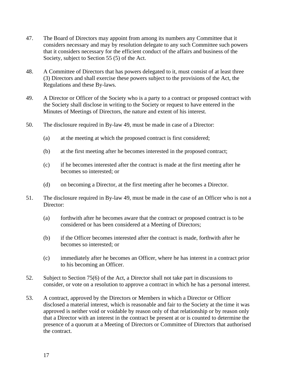- 47. The Board of Directors may appoint from among its numbers any Committee that it considers necessary and may by resolution delegate to any such Committee such powers that it considers necessary for the efficient conduct of the affairs and business of the Society, subject to Section 55 (5) of the Act.
- 48. A Committee of Directors that has powers delegated to it, must consist of at least three (3) Directors and shall exercise these powers subject to the provisions of the Act, the Regulations and these By-laws.
- 49. A Director or Officer of the Society who is a party to a contract or proposed contract with the Society shall disclose in writing to the Society or request to have entered in the Minutes of Meetings of Directors, the nature and extent of his interest.
- 50. The disclosure required in By-law 49, must be made in case of a Director:
	- (a) at the meeting at which the proposed contract is first considered;
	- (b) at the first meeting after he becomes interested in the proposed contract;
	- (c) if he becomes interested after the contract is made at the first meeting after he becomes so interested; or
	- (d) on becoming a Director, at the first meeting after he becomes a Director.
- 51. The disclosure required in By-law 49, must be made in the case of an Officer who is not a Director:
	- (a) forthwith after he becomes aware that the contract or proposed contract is to be considered or has been considered at a Meeting of Directors;
	- (b) if the Officer becomes interested after the contract is made, forthwith after he becomes so interested; or
	- (c) immediately after he becomes an Officer, where he has interest in a contract prior to his becoming an Officer.
- 52. Subject to Section 75(6) of the Act, a Director shall not take part in discussions to consider, or vote on a resolution to approve a contract in which he has a personal interest.
- 53. A contract, approved by the Directors or Members in which a Director or Officer disclosed a material interest, which is reasonable and fair to the Society at the time it was approved is neither void or voidable by reason only of that relationship or by reason only that a Director with an interest in the contract be present at or is counted to determine the presence of a quorum at a Meeting of Directors or Committee of Directors that authorised the contract.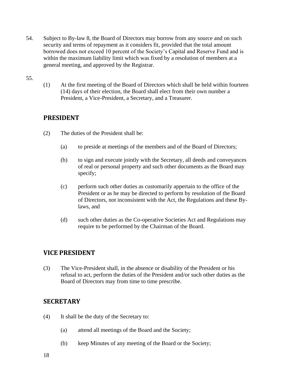54. Subject to By-law 8, the Board of Directors may borrow from any source and on such security and terms of repayment as it considers fit, provided that the total amount borrowed does not exceed 10 percent of the Society's Capital and Reserve Fund and is within the maximum liability limit which was fixed by a resolution of members at a general meeting, and approved by the Registrar.

#### 55.

(1) At the first meeting of the Board of Directors which shall be held within fourteen (14) days of their election, the Board shall elect from their own number a President, a Vice-President, a Secretary, and a Treasurer.

# <span id="page-17-0"></span>**PRESIDENT**

- (2) The duties of the President shall be:
	- (a) to preside at meetings of the members and of the Board of Directors;
	- (b) to sign and execute jointly with the Secretary, all deeds and conveyances of real or personal property and such other documents as the Board may specify;
	- (c) perform such other duties as customarily appertain to the office of the President or as he may be directed to perform by resolution of the Board of Directors, not inconsistent with the Act, the Regulations and these Bylaws, and
	- (d) such other duties as the Co-operative Societies Act and Regulations may require to be performed by the Chairman of the Board.

# <span id="page-17-1"></span>**VICE PRESIDENT**

(3) The Vice-President shall, in the absence or disability of the President or his refusal to act, perform the duties of the President and/or such other duties as the Board of Directors may from time to time prescribe.

# <span id="page-17-2"></span>**SECRETARY**

- (4) It shall be the duty of the Secretary to:
	- (a) attend all meetings of the Board and the Society;
	- (b) keep Minutes of any meeting of the Board or the Society;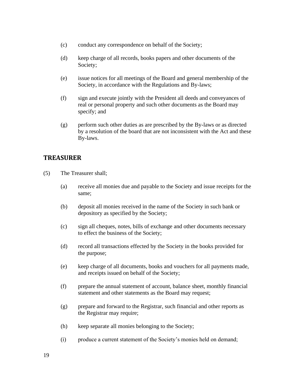- (c) conduct any correspondence on behalf of the Society;
- (d) keep charge of all records, books papers and other documents of the Society;
- (e) issue notices for all meetings of the Board and general membership of the Society, in accordance with the Regulations and By-laws;
- (f) sign and execute jointly with the President all deeds and conveyances of real or personal property and such other documents as the Board may specify; and
- (g) perform such other duties as are prescribed by the By-laws or as directed by a resolution of the board that are not inconsistent with the Act and these By-laws.

#### <span id="page-18-0"></span>**TREASURER**

- (5) The Treasurer shall;
	- (a) receive all monies due and payable to the Society and issue receipts for the same;
	- (b) deposit all monies received in the name of the Society in such bank or depository as specified by the Society;
	- (c) sign all cheques, notes, bills of exchange and other documents necessary to effect the business of the Society;
	- (d) record all transactions effected by the Society in the books provided for the purpose;
	- (e) keep charge of all documents, books and vouchers for all payments made, and receipts issued on behalf of the Society;
	- (f) prepare the annual statement of account, balance sheet, monthly financial statement and other statements as the Board may request;
	- (g) prepare and forward to the Registrar, such financial and other reports as the Registrar may require;
	- (h) keep separate all monies belonging to the Society;
	- (i) produce a current statement of the Society's monies held on demand;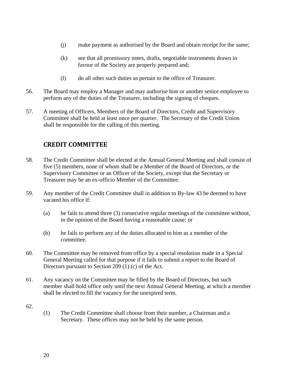- (j) make payment as authorised by the Board and obtain receipt for the same;
- (k) see that all promissory notes, drafts, negotiable instruments drawn in favour of the Society are properly prepared and;
- (l) do all other such duties as pertain to the office of Treasurer.
- 56. The Board may employ a Manager and may authorise him or another senior employee to perform any of the duties of the Treasurer, including the signing of cheques.
- 57. A meeting of Officers, Members of the Board of Directors, Credit and Supervisory Committee shall be held at least once per quarter. The Secretary of the Credit Union shall be responsible for the calling of this meeting.

# <span id="page-19-0"></span>**CREDIT COMMITTEE**

- 58. The Credit Committee shall be elected at the Annual General Meeting and shall consist of five (5) members, none of whom shall be a Member of the Board of Directors, or the Supervisory Committee or an Officer of the Society, except that the Secretary or Treasurer may be an ex-officio Member of the Committee.
- 59. Any member of the Credit Committee shall in addition to By-law 43 be deemed to have vacated his office if:
	- (a) he fails to attend three (3) consecutive regular meetings of the committee without, in the opinion of the Board having a reasonable cause; or
	- (b) he fails to perform any of the duties allocated to him as a member of the committee.
- 60. The Committee may be removed from office by a special resolution made in a Special General Meeting called for that purpose if it fails to submit a report to the Board of Directors pursuant to Section 209 (1) (c) of the Act.
- 61. Any vacancy on the Committee may be filled by the Board of Directors, but such member shall hold office only until the next Annual General Meeting, at which a member shall be elected to fill the vacancy for the unexpired term.
- 62.
- (1) The Credit Committee shall choose from their number, a Chairman and a Secretary. These offices may not be held by the same person.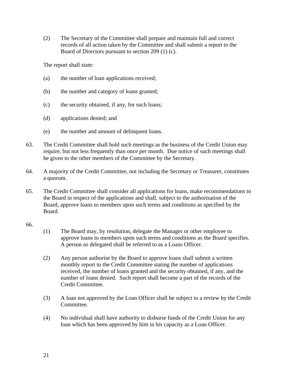(2) The Secretary of the Committee shall prepare and maintain full and correct records of all action taken by the Committee and shall submit a report to the Board of Directors pursuant to section 209 (1) (c).

The report shall state:

- (a) the number of loan applications received;
- (b) the number and category of loans granted;
- (c) the security obtained, if any, for such loans;
- (d) applications denied; and
- (e) the number and amount of delinquent loans.
- 63. The Credit Committee shall hold such meetings as the business of the Credit Union may require, but not less frequently than once per month. Due notice of such meetings shall be given to the other members of the Committee by the Secretary.
- 64. A majority of the Credit Committee, not including the Secretary or Treasurer, constitutes a quorum.
- 65. The Credit Committee shall consider all applications for loans, make recommendations to the Board in respect of the applications and shall, subject to the authorisation of the Board, approve loans to members upon such terms and conditions as specified by the Board.

- (1) The Board may, by resolution, delegate the Manager or other employee to approve loans to members upon such terms and conditions as the Board specifies. A person so delegated shall be referred to as a Loans Officer.
- (2) Any person authorise by the Board to approve loans shall submit a written monthly report to the Credit Committee stating the number of applications received, the number of loans granted and the security obtained, if any, and the number of loans denied. Such report shall become a part of the records of the Credit Committee.
- (3) A loan not approved by the Loan Officer shall be subject to a review by the Credit Committee.
- (4) No individual shall have authority to disburse funds of the Credit Union for any loan which has been approved by him in his capacity as a Loan Officer.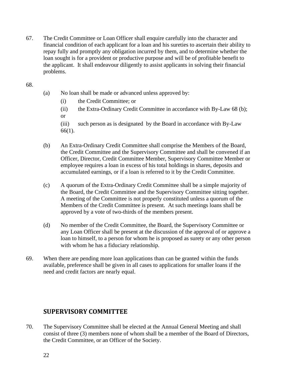67. The Credit Committee or Loan Officer shall enquire carefully into the character and financial condition of each applicant for a loan and his sureties to ascertain their ability to repay fully and promptly any obligation incurred by them, and to determine whether the loan sought is for a provident or productive purpose and will be of profitable benefit to the applicant. It shall endeavour diligently to assist applicants in solving their financial problems.

#### 68.

- (a) No loan shall be made or advanced unless approved by:
	- (i) the Credit Committee; or
	- (ii) the Extra-Ordinary Credit Committee in accordance with By-Law 68 (b); or
	- (iii) such person as is designated by the Board in accordance with By-Law 66(1).
- (b) An Extra-Ordinary Credit Committee shall comprise the Members of the Board, the Credit Committee and the Supervisory Committee and shall be convened if an Officer, Director, Credit Committee Member, Supervisory Committee Member or employee requires a loan in excess of his total holdings in shares, deposits and accumulated earnings, or if a loan is referred to it by the Credit Committee.
- (c) A quorum of the Extra-Ordinary Credit Committee shall be a simple majority of the Board, the Credit Committee and the Supervisory Committee sitting together. A meeting of the Committee is not properly constituted unless a quorum of the Members of the Credit Committee is present. At such meetings loans shall be approved by a vote of two-thirds of the members present.
- (d) No member of the Credit Committee, the Board, the Supervisory Committee or any Loan Officer shall be present at the discussion of the approval of or approve a loan to himself, to a person for whom he is proposed as surety or any other person with whom he has a fiduciary relationship.
- 69. When there are pending more loan applications than can be granted within the funds available, preference shall be given in all cases to applications for smaller loans if the need and credit factors are nearly equal.

# <span id="page-21-0"></span>**SUPERVISORY COMMITTEE**

70. The Supervisory Committee shall be elected at the Annual General Meeting and shall consist of three (3) members none of whom shall be a member of the Board of Directors, the Credit Committee, or an Officer of the Society.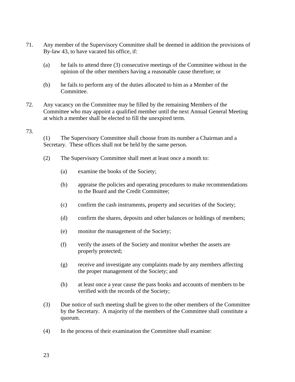- 71. Any member of the Supervisory Committee shall be deemed in addition the provisions of By-law 43, to have vacated his office, if:
	- (a) he fails to attend three (3) consecutive meetings of the Committee without in the opinion of the other members having a reasonable cause therefore; or
	- (b) he fails to perform any of the duties allocated to him as a Member of the Committee.
- 72. Any vacancy on the Committee may be filled by the remaining Members of the Committee who may appoint a qualified member until the next Annual General Meeting at which a member shall be elected to fill the unexpired term.

#### 73.

(1) The Supervisory Committee shall choose from its number a Chairman and a Secretary. These offices shall not be held by the same person.

- (2) The Supervisory Committee shall meet at least once a month to:
	- (a) examine the books of the Society;
	- (b) appraise the policies and operating procedures to make recommendations to the Board and the Credit Committee;
	- (c) confirm the cash instruments, property and securities of the Society;
	- (d) confirm the shares, deposits and other balances or holdings of members;
	- (e) monitor the management of the Society;
	- (f) verify the assets of the Society and monitor whether the assets are properly protected;
	- (g) receive and investigate any complaints made by any members affecting the proper management of the Society; and
	- (h) at least once a year cause the pass books and accounts of members to be verified with the records of the Society;
- (3) Due notice of such meeting shall be given to the other members of the Committee by the Secretary. A majority of the members of the Committee shall constitute a quorum.
- (4) In the process of their examination the Committee shall examine: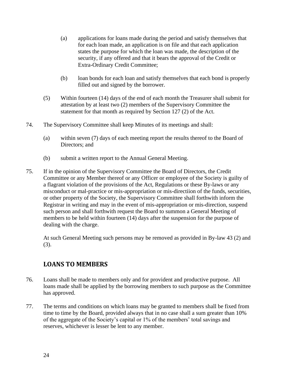- (a) applications for loans made during the period and satisfy themselves that for each loan made, an application is on file and that each application states the purpose for which the loan was made, the description of the security, if any offered and that it bears the approval of the Credit or Extra-Ordinary Credit Committee;
- (b) loan bonds for each loan and satisfy themselves that each bond is properly filled out and signed by the borrower.
- (5) Within fourteen (14) days of the end of each month the Treasurer shall submit for attestation by at least two (2) members of the Supervisory Committee the statement for that month as required by Section 127 (2) of the Act.
- 74. The Supervisory Committee shall keep Minutes of its meetings and shall:
	- (a) within seven (7) days of each meeting report the results thereof to the Board of Directors; and
	- (b) submit a written report to the Annual General Meeting.
- 75. If in the opinion of the Supervisory Committee the Board of Directors, the Credit Committee or any Member thereof or any Officer or employee of the Society is guilty of a flagrant violation of the provisions of the Act, Regulations or these By-laws or any misconduct or mal-practice or mis-appropriation or mis-directiion of the funds, securities, or other property of the Society, the Supervisory Committee shall forthwith inform the Registrar in writing and may in the event of mis-appropriation or mis-direction, suspend such person and shall forthwith request the Board to summon a General Meeting of members to be held within fourteen (14) days after the suspension for the purpose of dealing with the charge.

At such General Meeting such persons may be removed as provided in By-law 43 (2) and (3).

# <span id="page-23-0"></span>**LOANS TO MEMBERS**

- 76. Loans shall be made to members only and for provident and productive purpose. All loans made shall be applied by the borrowing members to such purpose as the Committee has approved.
- 77. The terms and conditions on which loans may be granted to members shall be fixed from time to time by the Board, provided always that in no case shall a sum greater than 10% of the aggregate of the Society's capital or 1% of the members' total savings and reserves, whichever is lesser be lent to any member.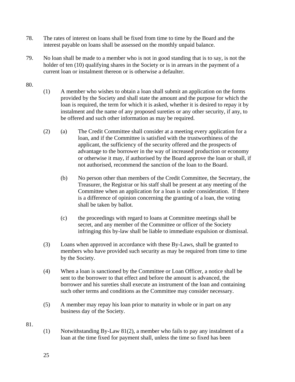- 78. The rates of interest on loans shall be fixed from time to time by the Board and the interest payable on loans shall be assessed on the monthly unpaid balance.
- 79. No loan shall be made to a member who is not in good standing that is to say, is not the holder of ten (10) qualifying shares in the Society or is in arrears in the payment of a current loan or instalment thereon or is otherwise a defaulter.

#### 80.

- (1) A member who wishes to obtain a loan shall submit an application on the forms provided by the Society and shall state the amount and the purpose for which the loan is required, the term for which it is asked, whether it is desired to repay it by instalment and the name of any proposed sureties or any other security, if any, to be offered and such other information as may be required.
- (2) (a) The Credit Committee shall consider at a meeting every application for a loan, and if the Committee is satisfied with the trustworthiness of the applicant, the sufficiency of the security offered and the prospects of advantage to the borrower in the way of increased production or economy or otherwise it may, if authorised by the Board approve the loan or shall, if not authorised, recommend the sanction of the loan to the Board.
	- (b) No person other than members of the Credit Committee, the Secretary, the Treasurer, the Registrar or his staff shall be present at any meeting of the Committee when an application for a loan is under consideration. If there is a difference of opinion concerning the granting of a loan, the voting shall be taken by ballot.
	- (c) the proceedings with regard to loans at Committee meetings shall be secret, and any member of the Committee or officer of the Society infringing this by-law shall be liable to immediate expulsion or dismissal.
- (3) Loans when approved in accordance with these By-Laws, shall be granted to members who have provided such security as may be required from time to time by the Society.
- (4) When a loan is sanctioned by the Committee or Loan Officer, a notice shall be sent to the borrower to that effect and before the amount is advanced, the borrower and his sureties shall execute an instrument of the loan and containing such other terms and conditions as the Committee may consider necessary.
- (5) A member may repay his loan prior to maturity in whole or in part on any business day of the Society.

81.

(1) Notwithstanding By-Law 81(2), a member who fails to pay any instalment of a loan at the time fixed for payment shall, unless the time so fixed has been

25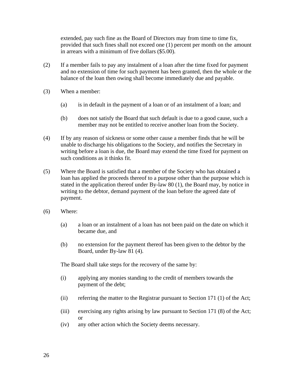extended, pay such fine as the Board of Directors may from time to time fix, provided that such fines shall not exceed one (1) percent per month on the amount in arrears with a minimum of five dollars (\$5.00).

- (2) If a member fails to pay any instalment of a loan after the time fixed for payment and no extension of time for such payment has been granted, then the whole or the balance of the loan then owing shall become immediately due and payable.
- (3) When a member:
	- (a) is in default in the payment of a loan or of an instalment of a loan; and
	- (b) does not satisfy the Board that such default is due to a good cause, such a member may not be entitled to receive another loan from the Society.
- (4) If by any reason of sickness or some other cause a member finds that he will be unable to discharge his obligations to the Society, and notifies the Secretary in writing before a loan is due, the Board may extend the time fixed for payment on such conditions as it thinks fit.
- (5) Where the Board is satisfied that a member of the Society who has obtained a loan has applied the proceeds thereof to a purpose other than the purpose which is stated in the application thereof under By-law 80 (1), the Board may, by notice in writing to the debtor, demand payment of the loan before the agreed date of payment.
- (6) Where:
	- (a) a loan or an instalment of a loan has not been paid on the date on which it became due, and
	- (b) no extension for the payment thereof has been given to the debtor by the Board, under By-law 81 (4).

The Board shall take steps for the recovery of the same by:

- (i) applying any monies standing to the credit of members towards the payment of the debt;
- (ii) referring the matter to the Registrar pursuant to Section 171 (1) of the Act;
- (iii) exercising any rights arising by law pursuant to Section 171 (8) of the Act; or
- (iv) any other action which the Society deems necessary.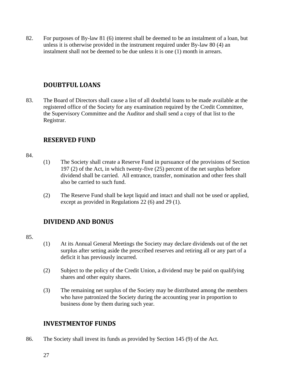82. For purposes of By-law 81 (6) interest shall be deemed to be an instalment of a loan, but unless it is otherwise provided in the instrument required under By-law 80 (4) an instalment shall not be deemed to be due unless it is one (1) month in arrears.

# <span id="page-26-0"></span>**DOUBTFUL LOANS**

83. The Board of Directors shall cause a list of all doubtful loans to be made available at the registered office of the Society for any examination required by the Credit Committee, the Supervisory Committee and the Auditor and shall send a copy of that list to the Registrar.

# <span id="page-26-1"></span>**RESERVED FUND**

#### 84.

- (1) The Society shall create a Reserve Fund in pursuance of the provisions of Section 197 (2) of the Act, in which twenty-five (25) percent of the net surplus before dividend shall be carried. All entrance, transfer, nomination and other fees shall also be carried to such fund.
- (2) The Reserve Fund shall be kept liquid and intact and shall not be used or applied, except as provided in Regulations 22 (6) and 29 (1).

# <span id="page-26-2"></span>**DIVIDEND AND BONUS**

#### 85.

- (1) At its Annual General Meetings the Society may declare dividends out of the net surplus after setting aside the prescribed reserves and retiring all or any part of a deficit it has previously incurred.
- (2) Subject to the policy of the Credit Union, a dividend may be paid on qualifying shares and other equity shares.
- (3) The remaining net surplus of the Society may be distributed among the members who have patronized the Society during the accounting year in proportion to business done by them during such year.

# <span id="page-26-3"></span>**INVESTMENTOF FUNDS**

86. The Society shall invest its funds as provided by Section 145 (9) of the Act.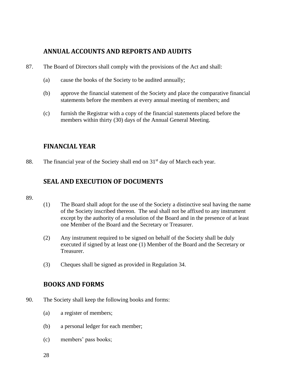# <span id="page-27-0"></span>**ANNUAL ACCOUNTS AND REPORTS AND AUDITS**

- 87. The Board of Directors shall comply with the provisions of the Act and shall:
	- (a) cause the books of the Society to be audited annually;
	- (b) approve the financial statement of the Society and place the comparative financial statements before the members at every annual meeting of members; and
	- (c) furnish the Registrar with a copy of the financial statements placed before the members within thirty (30) days of the Annual General Meeting.

# <span id="page-27-1"></span>**FINANCIAL YEAR**

88. The financial year of the Society shall end on 31<sup>st</sup> day of March each year.

# <span id="page-27-2"></span>**SEAL AND EXECUTION OF DOCUMENTS**

- 89.
- (1) The Board shall adopt for the use of the Society a distinctive seal having the name of the Society inscribed thereon. The seal shall not be affixed to any instrument except by the authority of a resolution of the Board and in the presence of at least one Member of the Board and the Secretary or Treasurer.
- (2) Any instrument required to be signed on behalf of the Society shall be duly executed if signed by at least one (1) Member of the Board and the Secretary or Treasurer.
- (3) Cheques shall be signed as provided in Regulation 34.

# <span id="page-27-3"></span>**BOOKS AND FORMS**

- 90. The Society shall keep the following books and forms:
	- (a) a register of members;
	- (b) a personal ledger for each member;
	- (c) members' pass books;
	- 28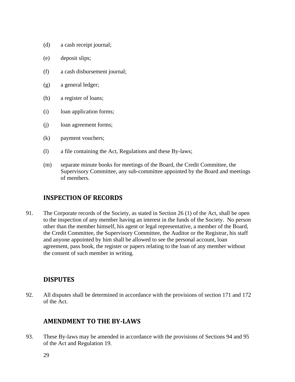- (d) a cash receipt journal;
- (e) deposit slips;
- (f) a cash disbursement journal;
- (g) a general ledger;
- (h) a register of loans;
- (i) loan application forms;
- (j) loan agreement forms;
- (k) payment vouchers;
- (l) a file containing the Act, Regulations and these By-laws;
- (m) separate minute books for meetings of the Board, the Credit Committee, the Supervisory Committee, any sub-committee appointed by the Board and meetings of members.

# <span id="page-28-0"></span>**INSPECTION OF RECORDS**

91. The Corporate records of the Society, as stated in Section 26 (1) of the Act, shall be open to the inspection of any member having an interest in the funds of the Society. No person other than the member himself, his agent or legal representative, a member of the Board, the Credit Committee, the Supervisory Committee, the Auditor or the Registrar, his staff and anyone appointed by him shall be allowed to see the personal account, loan agreement, pass book, the register or papers relating to the loan of any member without the consent of such member in writing.

# <span id="page-28-1"></span>**DISPUTES**

92. All disputes shall be determined in accordance with the provisions of section 171 and 172 of the Act.

#### <span id="page-28-2"></span>**AMENDMENT TO THE BY-LAWS**

93. These By-laws may be amended in accordance with the provisions of Sections 94 and 95 of the Act and Regulation 19.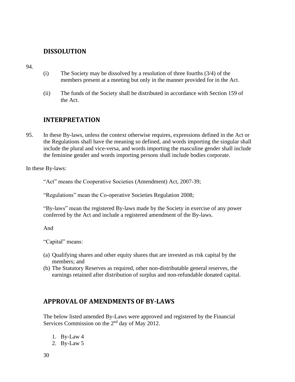#### <span id="page-29-0"></span>**DISSOLUTION**

94.

- (i) The Society may be dissolved by a resolution of three fourths (3/4) of the members present at a meeting but only in the manner provided for in the Act.
- (ii) The funds of the Society shall be distributed in accordance with Section 159 of the Act.

# <span id="page-29-1"></span>**INTERPRETATION**

95. In these By-laws, unless the context otherwise requires, expressions defined in the Act or the Regulations shall have the meaning so defined, and words importing the singular shall include the plural and vice-versa, and words importing the masculine gender shall include the feminine gender and words importing persons shall include bodies corporate.

In these By-laws:

"Act" means the Cooperative Societies (Amendment) Act, 2007-39;

"Regulations" mean the Co-operative Societies Regulation 2008;

"By-laws" mean the registered By-laws made by the Society in exercise of any power conferred by the Act and include a registered amendment of the By-laws.

And

"Capital" means:

- (a) Qualifying shares and other equity shares that are invested as risk capital by the members; and
- (b) The Statutory Reserves as required, other non-distributable general reserves, the earnings retained after distribution of surplus and non-refundable donated capital.

# <span id="page-29-2"></span>**APPROVAL OF AMENDMENTS OF BY-LAWS**

The below listed amended By-Laws were approved and registered by the Financial Services Commission on the  $2<sup>nd</sup>$  day of May 2012.

- 1. By-Law 4
- 2. By-Law 5